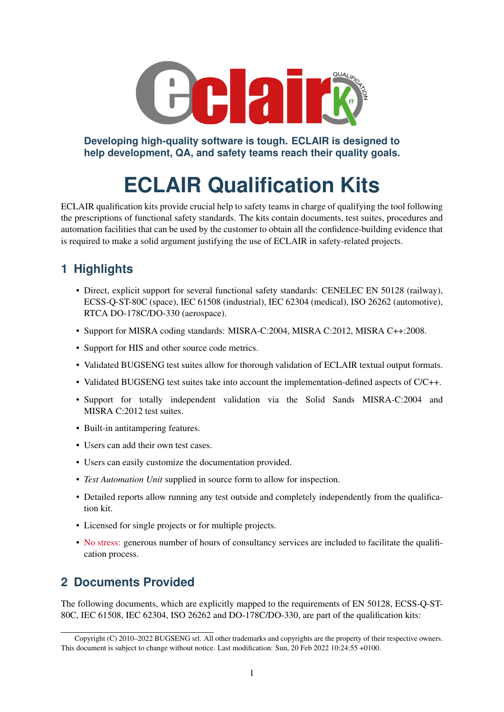

**Developing high-quality software is tough. ECLAIR is designed to help development, QA, and safety teams reach their quality goals.**

# **ECLAIR Qualification Kits**

ECLAIR qualification kits provide crucial help to safety teams in charge of qualifying the tool following the prescriptions of functional safety standards. The kits contain documents, test suites, procedures and automation facilities that can be used by the customer to obtain all the confidence-building evidence that is required to make a solid argument justifying the use of ECLAIR in safety-related projects.

# **1 Highlights**

- Direct, explicit support for several functional safety standards: CENELEC EN 50128 (railway), ECSS-Q-ST-80C (space), IEC 61508 (industrial), IEC 62304 (medical), ISO 26262 (automotive), RTCA DO-178C/DO-330 (aerospace).
- Support for MISRA coding standards: MISRA-C:2004, MISRA C:2012, MISRA C++:2008.
- Support for HIS and other source code metrics.
- Validated BUGSENG test suites allow for thorough validation of ECLAIR textual output formats.
- Validated BUGSENG test suites take into account the implementation-defined aspects of C/C++.
- Support for totally independent validation via the Solid Sands MISRA-C:2004 and MISRA C:2012 test suites.
- Built-in antitampering features.
- Users can add their own test cases.
- Users can easily customize the documentation provided.
- *Test Automation Unit* supplied in source form to allow for inspection.
- Detailed reports allow running any test outside and completely independently from the qualification kit.
- Licensed for single projects or for multiple projects.
- No stress: generous number of hours of consultancy services are included to facilitate the qualification process.

## **2 Documents Provided**

The following documents, which are explicitly mapped to the requirements of EN 50128, ECSS-Q-ST-80C, IEC 61508, IEC 62304, ISO 26262 and DO-178C/DO-330, are part of the qualification kits:

Copyright (C) 2010–2022 BUGSENG srl. All other trademarks and copyrights are the property of their respective owners. This document is subject to change without notice. Last modification: Sun, 20 Feb 2022 10:24:55 +0100.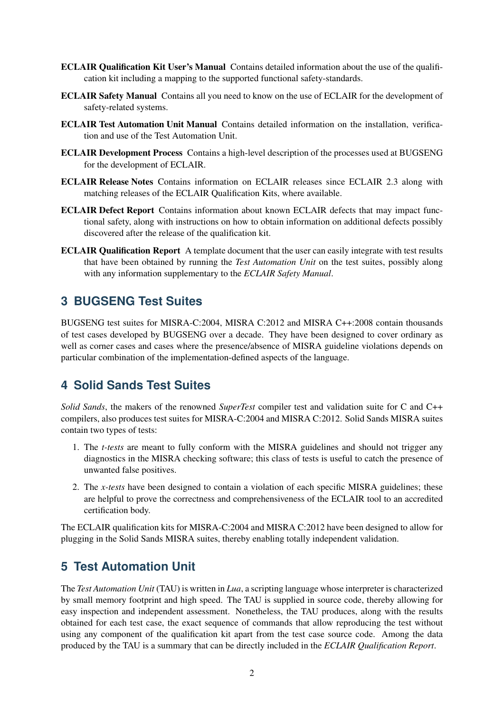- ECLAIR Qualification Kit User's Manual Contains detailed information about the use of the qualification kit including a mapping to the supported functional safety-standards.
- ECLAIR Safety Manual Contains all you need to know on the use of ECLAIR for the development of safety-related systems.
- ECLAIR Test Automation Unit Manual Contains detailed information on the installation, verification and use of the Test Automation Unit.
- ECLAIR Development Process Contains a high-level description of the processes used at BUGSENG for the development of ECLAIR.
- ECLAIR Release Notes Contains information on ECLAIR releases since ECLAIR 2.3 along with matching releases of the ECLAIR Qualification Kits, where available.
- ECLAIR Defect Report Contains information about known ECLAIR defects that may impact functional safety, along with instructions on how to obtain information on additional defects possibly discovered after the release of the qualification kit.
- ECLAIR Qualification Report A template document that the user can easily integrate with test results that have been obtained by running the *Test Automation Unit* on the test suites, possibly along with any information supplementary to the *ECLAIR Safety Manual*.

#### **3 BUGSENG Test Suites**

BUGSENG test suites for MISRA-C:2004, MISRA C:2012 and MISRA C++:2008 contain thousands of test cases developed by BUGSENG over a decade. They have been designed to cover ordinary as well as corner cases and cases where the presence/absence of MISRA guideline violations depends on particular combination of the implementation-defined aspects of the language.

## **4 Solid Sands Test Suites**

*Solid Sands*, the makers of the renowned *SuperTest* compiler test and validation suite for C and C++ compilers, also produces test suites for MISRA-C:2004 and MISRA C:2012. Solid Sands MISRA suites contain two types of tests:

- 1. The *t-tests* are meant to fully conform with the MISRA guidelines and should not trigger any diagnostics in the MISRA checking software; this class of tests is useful to catch the presence of unwanted false positives.
- 2. The *x-tests* have been designed to contain a violation of each specific MISRA guidelines; these are helpful to prove the correctness and comprehensiveness of the ECLAIR tool to an accredited certification body.

The ECLAIR qualification kits for MISRA-C:2004 and MISRA C:2012 have been designed to allow for plugging in the Solid Sands MISRA suites, thereby enabling totally independent validation.

#### **5 Test Automation Unit**

The *Test Automation Unit* (TAU) is written in *Lua*, a scripting language whose interpreter is characterized by small memory footprint and high speed. The TAU is supplied in source code, thereby allowing for easy inspection and independent assessment. Nonetheless, the TAU produces, along with the results obtained for each test case, the exact sequence of commands that allow reproducing the test without using any component of the qualification kit apart from the test case source code. Among the data produced by the TAU is a summary that can be directly included in the *ECLAIR Qualification Report*.